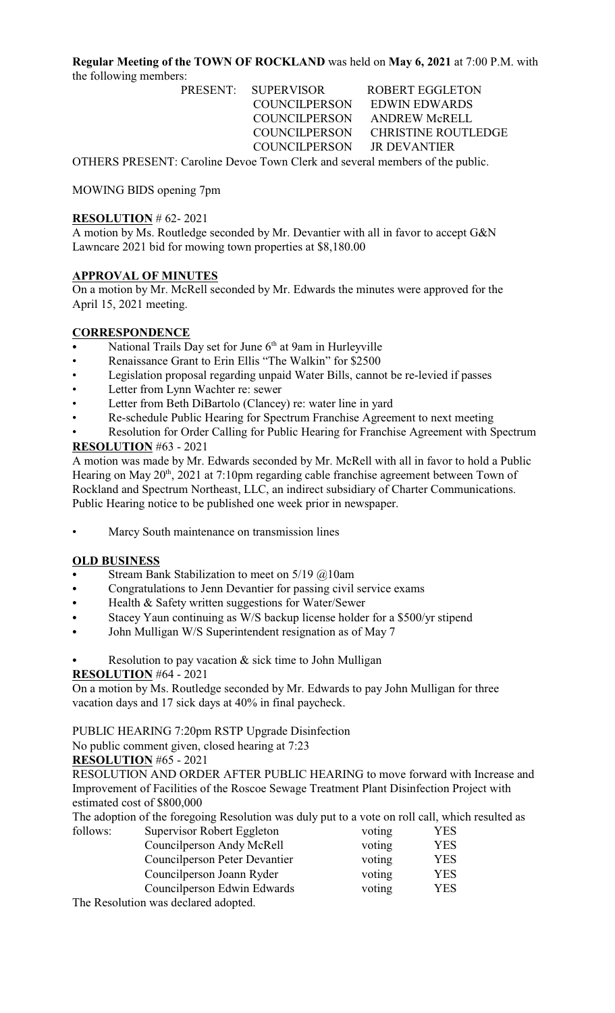**Regular Meeting of the TOWN OF ROCKLAND** was held on **May 6, 2021** at 7:00 P.M. with the following members:

PRESENT: SUPERVISOR ROBERT EGGLETON COUNCILPERSON ANDREW McRELL COUNCILPERSON JR DEVANTIER

 COUNCILPERSON EDWIN EDWARDS COUNCILPERSON CHRISTINE ROUTLEDGE

OTHERS PRESENT: Caroline Devoe Town Clerk and several members of the public.

MOWING BIDS opening 7pm

### **RESOLUTION** # 62- 2021

A motion by Ms. Routledge seconded by Mr. Devantier with all in favor to accept G&N Lawncare 2021 bid for mowing town properties at \$8,180.00

#### **APPROVAL OF MINUTES**

On a motion by Mr. McRell seconded by Mr. Edwards the minutes were approved for the April 15, 2021 meeting.

## **CORRESPONDENCE**

- National Trails Day set for June  $6<sup>th</sup>$  at 9am in Hurleyville
- Renaissance Grant to Erin Ellis "The Walkin" for \$2500
- Legislation proposal regarding unpaid Water Bills, cannot be re-levied if passes
- Letter from Lynn Wachter re: sewer
- Letter from Beth DiBartolo (Clancey) re: water line in yard
- Re-schedule Public Hearing for Spectrum Franchise Agreement to next meeting

Resolution for Order Calling for Public Hearing for Franchise Agreement with Spectrum **RESOLUTION** #63 - 2021

A motion was made by Mr. Edwards seconded by Mr. McRell with all in favor to hold a Public Hearing on May  $20<sup>th</sup>$ ,  $2021$  at 7:10pm regarding cable franchise agreement between Town of Rockland and Spectrum Northeast, LLC, an indirect subsidiary of Charter Communications. Public Hearing notice to be published one week prior in newspaper.

• Marcy South maintenance on transmission lines

#### **OLD BUSINESS**

- Stream Bank Stabilization to meet on  $5/19$  @10am
- Congratulations to Jenn Devantier for passing civil service exams
- Health & Safety written suggestions for Water/Sewer
- Stacey Yaun continuing as W/S backup license holder for a \$500/yr stipend
- John Mulligan W/S Superintendent resignation as of May 7
- Resolution to pay vacation  $&$  sick time to John Mulligan

### **RESOLUTION** #64 - 2021

On a motion by Ms. Routledge seconded by Mr. Edwards to pay John Mulligan for three vacation days and 17 sick days at 40% in final paycheck.

## PUBLIC HEARING 7:20pm RSTP Upgrade Disinfection

No public comment given, closed hearing at 7:23

#### **RESOLUTION** #65 - 2021

RESOLUTION AND ORDER AFTER PUBLIC HEARING to move forward with Increase and Improvement of Facilities of the Roscoe Sewage Treatment Plant Disinfection Project with estimated cost of \$800,000

The adoption of the foregoing Resolution was duly put to a vote on roll call, which resulted as

| follows: | Supervisor Robert Eggleton           | voting | YES        |
|----------|--------------------------------------|--------|------------|
|          | Councilperson Andy McRell            | voting | <b>YES</b> |
|          | Councilperson Peter Devantier        | voting | YES        |
|          | Councilperson Joann Ryder            | voting | YES        |
|          | Councilperson Edwin Edwards          | voting | <b>YES</b> |
|          | The Resolution was declared adopted. |        |            |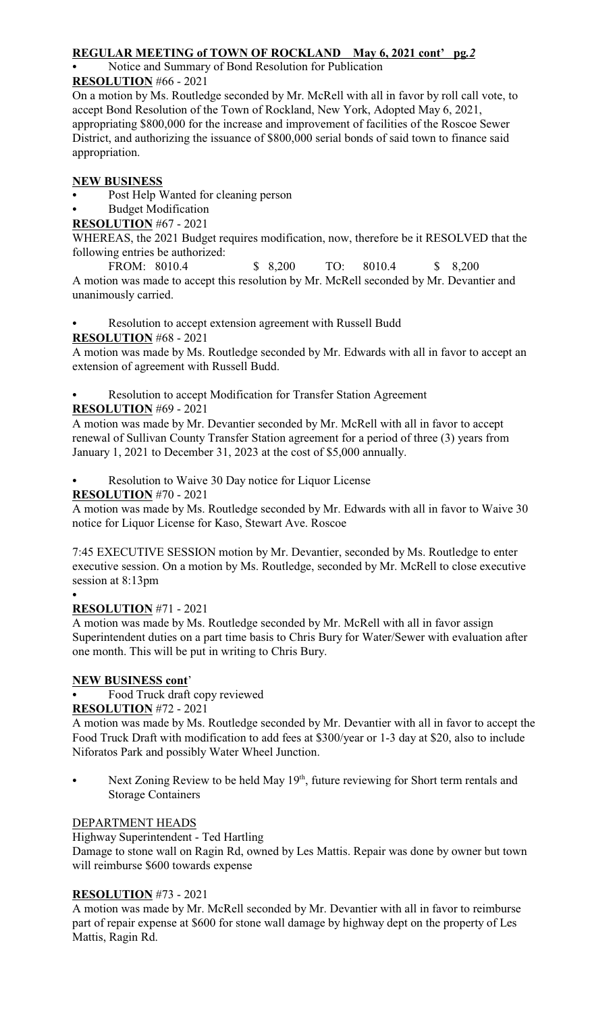## **REGULAR MEETING of TOWN OF ROCKLAND May 6, 2021 cont' pg***.2*

## Notice and Summary of Bond Resolution for Publication

### **RESOLUTION** #66 - 2021

On a motion by Ms. Routledge seconded by Mr. McRell with all in favor by roll call vote, to accept Bond Resolution of the Town of Rockland, New York, Adopted May 6, 2021, appropriating \$800,000 for the increase and improvement of facilities of the Roscoe Sewer District, and authorizing the issuance of \$800,000 serial bonds of said town to finance said appropriation.

## **NEW BUSINESS**

Post Help Wanted for cleaning person

**Budget Modification** 

**RESOLUTION** #67 - 2021

WHEREAS, the 2021 Budget requires modification, now, therefore be it RESOLVED that the following entries be authorized:

FROM: 8010.4 \$ 8,200 TO: 8010.4 \$ 8,200 A motion was made to accept this resolution by Mr. McRell seconded by Mr. Devantier and unanimously carried.

Resolution to accept extension agreement with Russell Budd

## **RESOLUTION** #68 - 2021

A motion was made by Ms. Routledge seconded by Mr. Edwards with all in favor to accept an extension of agreement with Russell Budd.

Resolution to accept Modification for Transfer Station Agreement

## **RESOLUTION** #69 - 2021

A motion was made by Mr. Devantier seconded by Mr. McRell with all in favor to accept renewal of Sullivan County Transfer Station agreement for a period of three (3) years from January 1, 2021 to December 31, 2023 at the cost of \$5,000 annually.

Resolution to Waive 30 Day notice for Liquor License

## **RESOLUTION** #70 - 2021

A motion was made by Ms. Routledge seconded by Mr. Edwards with all in favor to Waive 30 notice for Liquor License for Kaso, Stewart Ave. Roscoe

7:45 EXECUTIVE SESSION motion by Mr. Devantier, seconded by Ms. Routledge to enter executive session. On a motion by Ms. Routledge, seconded by Mr. McRell to close executive session at 8:13pm

### $\bullet$

## **RESOLUTION** #71 - 2021

A motion was made by Ms. Routledge seconded by Mr. McRell with all in favor assign Superintendent duties on a part time basis to Chris Bury for Water/Sewer with evaluation after one month. This will be put in writing to Chris Bury.

# **NEW BUSINESS cont**'

Food Truck draft copy reviewed

## **RESOLUTION** #72 - 2021

A motion was made by Ms. Routledge seconded by Mr. Devantier with all in favor to accept the Food Truck Draft with modification to add fees at \$300/year or 1-3 day at \$20, also to include Niforatos Park and possibly Water Wheel Junction.

Next Zoning Review to be held May  $19<sup>th</sup>$ , future reviewing for Short term rentals and Storage Containers

## DEPARTMENT HEADS

Highway Superintendent - Ted Hartling

Damage to stone wall on Ragin Rd, owned by Les Mattis. Repair was done by owner but town will reimburse \$600 towards expense

## **RESOLUTION** #73 - 2021

A motion was made by Mr. McRell seconded by Mr. Devantier with all in favor to reimburse part of repair expense at \$600 for stone wall damage by highway dept on the property of Les Mattis, Ragin Rd.